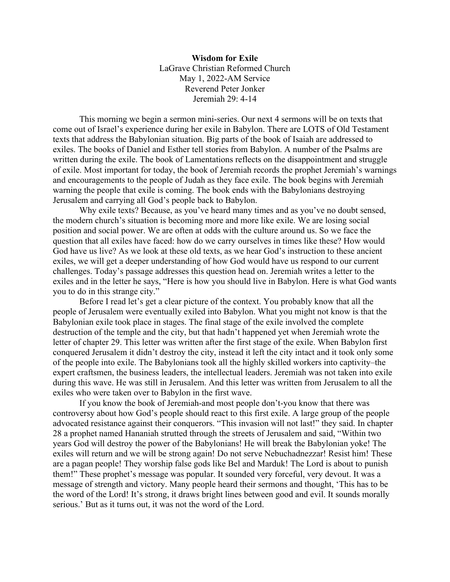**Wisdom for Exile** LaGrave Christian Reformed Church May 1, 2022-AM Service Reverend Peter Jonker Jeremiah 29: 4-14

This morning we begin a sermon mini-series. Our next 4 sermons will be on texts that come out of Israel's experience during her exile in Babylon. There are LOTS of Old Testament texts that address the Babylonian situation. Big parts of the book of Isaiah are addressed to exiles. The books of Daniel and Esther tell stories from Babylon. A number of the Psalms are written during the exile. The book of Lamentations reflects on the disappointment and struggle of exile. Most important for today, the book of Jeremiah records the prophet Jeremiah's warnings and encouragements to the people of Judah as they face exile. The book begins with Jeremiah warning the people that exile is coming. The book ends with the Babylonians destroying Jerusalem and carrying all God's people back to Babylon.

Why exile texts? Because, as you've heard many times and as you've no doubt sensed, the modern church's situation is becoming more and more like exile. We are losing social position and social power. We are often at odds with the culture around us. So we face the question that all exiles have faced: how do we carry ourselves in times like these? How would God have us live? As we look at these old texts, as we hear God's instruction to these ancient exiles, we will get a deeper understanding of how God would have us respond to our current challenges. Today's passage addresses this question head on. Jeremiah writes a letter to the exiles and in the letter he says, "Here is how you should live in Babylon. Here is what God wants you to do in this strange city."

Before I read let's get a clear picture of the context. You probably know that all the people of Jerusalem were eventually exiled into Babylon. What you might not know is that the Babylonian exile took place in stages. The final stage of the exile involved the complete destruction of the temple and the city, but that hadn't happened yet when Jeremiah wrote the letter of chapter 29. This letter was written after the first stage of the exile. When Babylon first conquered Jerusalem it didn't destroy the city, instead it left the city intact and it took only some of the people into exile. The Babylonians took all the highly skilled workers into captivity–the expert craftsmen, the business leaders, the intellectual leaders. Jeremiah was not taken into exile during this wave. He was still in Jerusalem. And this letter was written from Jerusalem to all the exiles who were taken over to Babylon in the first wave.

If you know the book of Jeremiah-and most people don't-you know that there was controversy about how God's people should react to this first exile. A large group of the people advocated resistance against their conquerors. "This invasion will not last!" they said. In chapter 28 a prophet named Hananiah strutted through the streets of Jerusalem and said, "Within two years God will destroy the power of the Babylonians! He will break the Babylonian yoke! The exiles will return and we will be strong again! Do not serve Nebuchadnezzar! Resist him! These are a pagan people! They worship false gods like Bel and Marduk! The Lord is about to punish them!" These prophet's message was popular. It sounded very forceful, very devout. It was a message of strength and victory. Many people heard their sermons and thought, 'This has to be the word of the Lord! It's strong, it draws bright lines between good and evil. It sounds morally serious.' But as it turns out, it was not the word of the Lord.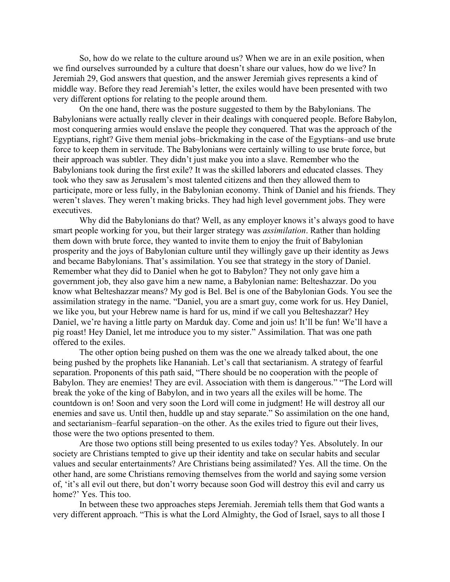So, how do we relate to the culture around us? When we are in an exile position, when we find ourselves surrounded by a culture that doesn't share our values, how do we live? In Jeremiah 29, God answers that question, and the answer Jeremiah gives represents a kind of middle way. Before they read Jeremiah's letter, the exiles would have been presented with two very different options for relating to the people around them.

On the one hand, there was the posture suggested to them by the Babylonians. The Babylonians were actually really clever in their dealings with conquered people. Before Babylon, most conquering armies would enslave the people they conquered. That was the approach of the Egyptians, right? Give them menial jobs–brickmaking in the case of the Egyptians–and use brute force to keep them in servitude. The Babylonians were certainly willing to use brute force, but their approach was subtler. They didn't just make you into a slave. Remember who the Babylonians took during the first exile? It was the skilled laborers and educated classes. They took who they saw as Jerusalem's most talented citizens and then they allowed them to participate, more or less fully, in the Babylonian economy. Think of Daniel and his friends. They weren't slaves. They weren't making bricks. They had high level government jobs. They were executives.

Why did the Babylonians do that? Well, as any employer knows it's always good to have smart people working for you, but their larger strategy was *assimilation*. Rather than holding them down with brute force, they wanted to invite them to enjoy the fruit of Babylonian prosperity and the joys of Babylonian culture until they willingly gave up their identity as Jews and became Babylonians. That's assimilation. You see that strategy in the story of Daniel. Remember what they did to Daniel when he got to Babylon? They not only gave him a government job, they also gave him a new name, a Babylonian name: Belteshazzar. Do you know what Belteshazzar means? My god is Bel. Bel is one of the Babylonian Gods. You see the assimilation strategy in the name. "Daniel, you are a smart guy, come work for us. Hey Daniel, we like you, but your Hebrew name is hard for us, mind if we call you Belteshazzar? Hey Daniel, we're having a little party on Marduk day. Come and join us! It'll be fun! We'll have a pig roast! Hey Daniel, let me introduce you to my sister." Assimilation. That was one path offered to the exiles.

The other option being pushed on them was the one we already talked about, the one being pushed by the prophets like Hananiah. Let's call that sectarianism. A strategy of fearful separation. Proponents of this path said, "There should be no cooperation with the people of Babylon. They are enemies! They are evil. Association with them is dangerous." "The Lord will break the yoke of the king of Babylon, and in two years all the exiles will be home. The countdown is on! Soon and very soon the Lord will come in judgment! He will destroy all our enemies and save us. Until then, huddle up and stay separate." So assimilation on the one hand, and sectarianism–fearful separation–on the other. As the exiles tried to figure out their lives, those were the two options presented to them.

Are those two options still being presented to us exiles today? Yes. Absolutely. In our society are Christians tempted to give up their identity and take on secular habits and secular values and secular entertainments? Are Christians being assimilated? Yes. All the time. On the other hand, are some Christians removing themselves from the world and saying some version of, 'it's all evil out there, but don't worry because soon God will destroy this evil and carry us home?' Yes. This too.

In between these two approaches steps Jeremiah. Jeremiah tells them that God wants a very different approach. "This is what the Lord Almighty, the God of Israel, says to all those I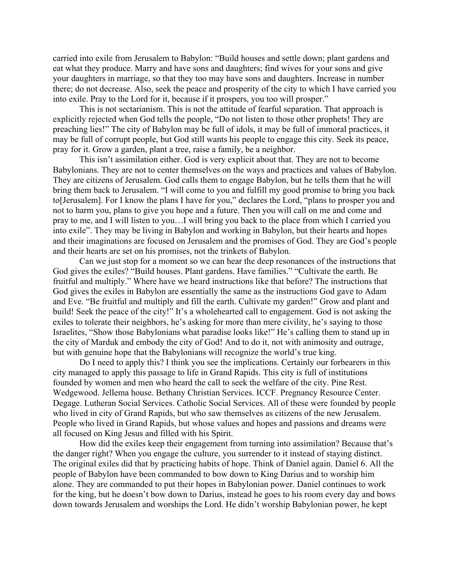carried into exile from Jerusalem to Babylon: "Build houses and settle down; plant gardens and eat what they produce. Marry and have sons and daughters; find wives for your sons and give your daughters in marriage, so that they too may have sons and daughters. Increase in number there; do not decrease. Also, seek the peace and prosperity of the city to which I have carried you into exile. Pray to the Lord for it, because if it prospers, you too will prosper."

This is not sectarianism. This is not the attitude of fearful separation. That approach is explicitly rejected when God tells the people, "Do not listen to those other prophets! They are preaching lies!" The city of Babylon may be full of idols, it may be full of immoral practices, it may be full of corrupt people, but God still wants his people to engage this city. Seek its peace, pray for it. Grow a garden, plant a tree, raise a family, be a neighbor.

This isn't assimilation either. God is very explicit about that. They are not to become Babylonians. They are not to center themselves on the ways and practices and values of Babylon. They are citizens of Jerusalem. God calls them to engage Babylon, but he tells them that he will bring them back to Jerusalem. "I will come to you and fulfill my good promise to bring you back to[Jerusalem]. For I know the plans I have for you," declares the Lord, "plans to prosper you and not to harm you, plans to give you hope and a future. Then you will call on me and come and pray to me, and I will listen to you…I will bring you back to the place from which I carried you into exile". They may be living in Babylon and working in Babylon, but their hearts and hopes and their imaginations are focused on Jerusalem and the promises of God. They are God's people and their hearts are set on his promises, not the trinkets of Babylon.

Can we just stop for a moment so we can hear the deep resonances of the instructions that God gives the exiles? "Build houses. Plant gardens. Have families." "Cultivate the earth. Be fruitful and multiply." Where have we heard instructions like that before? The instructions that God gives the exiles in Babylon are essentially the same as the instructions God gave to Adam and Eve. "Be fruitful and multiply and fill the earth. Cultivate my garden!" Grow and plant and build! Seek the peace of the city!" It's a wholehearted call to engagement. God is not asking the exiles to tolerate their neighbors, he's asking for more than mere civility, he's saying to those Israelites, "Show those Babylonians what paradise looks like!" He's calling them to stand up in the city of Marduk and embody the city of God! And to do it, not with animosity and outrage, but with genuine hope that the Babylonians will recognize the world's true king.

Do I need to apply this? I think you see the implications. Certainly our forbearers in this city managed to apply this passage to life in Grand Rapids. This city is full of institutions founded by women and men who heard the call to seek the welfare of the city. Pine Rest. Wedgewood. Jellema house. Bethany Christian Services. ICCF. Pregnancy Resource Center. Degage. Lutheran Social Services. Catholic Social Services. All of these were founded by people who lived in city of Grand Rapids, but who saw themselves as citizens of the new Jerusalem. People who lived in Grand Rapids, but whose values and hopes and passions and dreams were all focused on King Jesus and filled with his Spirit.

How did the exiles keep their engagement from turning into assimilation? Because that's the danger right? When you engage the culture, you surrender to it instead of staying distinct. The original exiles did that by practicing habits of hope. Think of Daniel again. Daniel 6. All the people of Babylon have been commanded to bow down to King Darius and to worship him alone. They are commanded to put their hopes in Babylonian power. Daniel continues to work for the king, but he doesn't bow down to Darius, instead he goes to his room every day and bows down towards Jerusalem and worships the Lord. He didn't worship Babylonian power, he kept